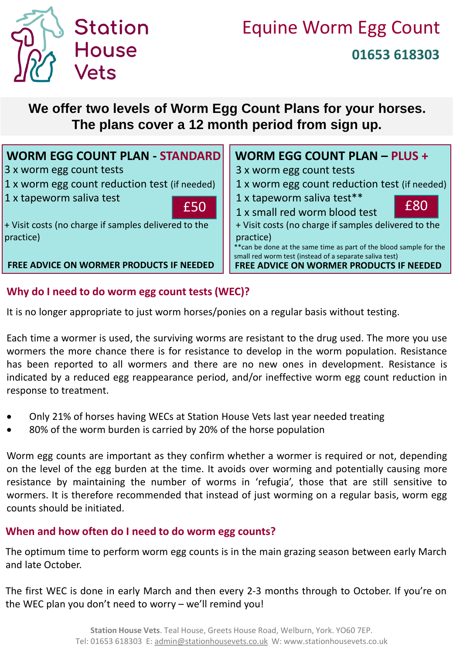

## **We offer two levels of Worm Egg Count Plans for your horses. The plans cover a 12 month period from sign up.**

| <b>WORM EGG COUNT PLAN - STANDARD</b>                  | <b>WORM EGG COUNT PLAN - PLUS +</b>                                                                                            |
|--------------------------------------------------------|--------------------------------------------------------------------------------------------------------------------------------|
| 3 x worm egg count tests                               | 3 x worm egg count tests                                                                                                       |
| 1 x worm egg count reduction test (if needed)          | 1 x worm egg count reduction test (if needed)                                                                                  |
| 1 x tapeworm saliva test                               | 1 x tapeworm saliva test**<br>£80                                                                                              |
| £50                                                    | 1 x small red worm blood test                                                                                                  |
| $+$ Visit costs (no charge if samples delivered to the | + Visit costs (no charge if samples delivered to the                                                                           |
| practice)                                              | practice)                                                                                                                      |
|                                                        | ** can be done at the same time as part of the blood sample for the<br>small red worm test (instead of a separate saliva test) |
| FREE ADVICE ON WORMER PRODUCTS IF NEEDED               | <b>FREE ADVICE ON WORMER PRODUCTS IF NEEDED</b>                                                                                |

#### **Why do I need to do worm egg count tests (WEC)?**

It is no longer appropriate to just worm horses/ponies on a regular basis without testing.

Each time a wormer is used, the surviving worms are resistant to the drug used. The more you use wormers the more chance there is for resistance to develop in the worm population. Resistance has been reported to all wormers and there are no new ones in development. Resistance is indicated by a reduced egg reappearance period, and/or ineffective worm egg count reduction in response to treatment.

- Only 21% of horses having WECs at Station House Vets last year needed treating
- 80% of the worm burden is carried by 20% of the horse population

Worm egg counts are important as they confirm whether a wormer is required or not, depending on the level of the egg burden at the time. It avoids over worming and potentially causing more resistance by maintaining the number of worms in 'refugia', those that are still sensitive to wormers. It is therefore recommended that instead of just worming on a regular basis, worm egg counts should be initiated.

#### **When and how often do I need to do worm egg counts?**

The optimum time to perform worm egg counts is in the main grazing season between early March and late October.

The first WEC is done in early March and then every 2-3 months through to October. If you're on the WEC plan you don't need to worry – we'll remind you!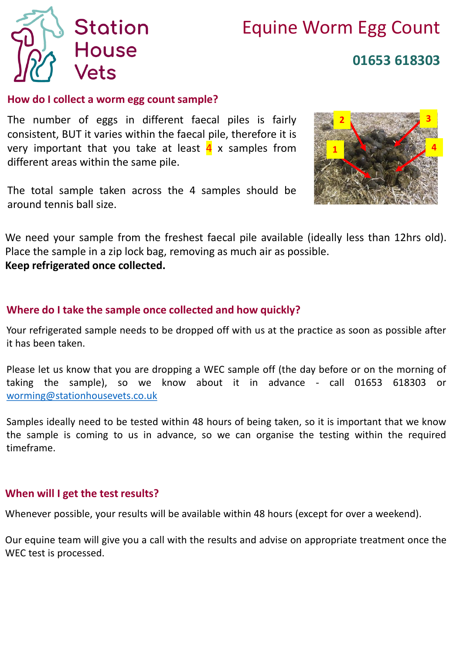

# Equine Worm Egg Count **01653 618303**

#### **How do I collect a worm egg count sample?**

The number of eggs in different faecal piles is fairly consistent, BUT it varies within the faecal pile, therefore it is very important that you take at least  $\frac{4}{3}$  x samples from different areas within the same pile.

The total sample taken across the 4 samples should be around tennis ball size.



We need your sample from the freshest faecal pile available (ideally less than 12hrs old). Place the sample in a zip lock bag, removing as much air as possible. **Keep refrigerated once collected.**

#### **Where do I take the sample once collected and how quickly?**

Your refrigerated sample needs to be dropped off with us at the practice as soon as possible after it has been taken.

Please let us know that you are dropping a WEC sample off (the day before or on the morning of taking the sample), so we know about it in advance - call 01653 618303 or [worming@stationhousevets.co.uk](mailto:worming@stationhousevets.co.uk)

Samples ideally need to be tested within 48 hours of being taken, so it is important that we know the sample is coming to us in advance, so we can organise the testing within the required timeframe.

#### **When will I get the test results?**

Whenever possible, your results will be available within 48 hours (except for over a weekend).

Our equine team will give you a call with the results and advise on appropriate treatment once the WEC test is processed.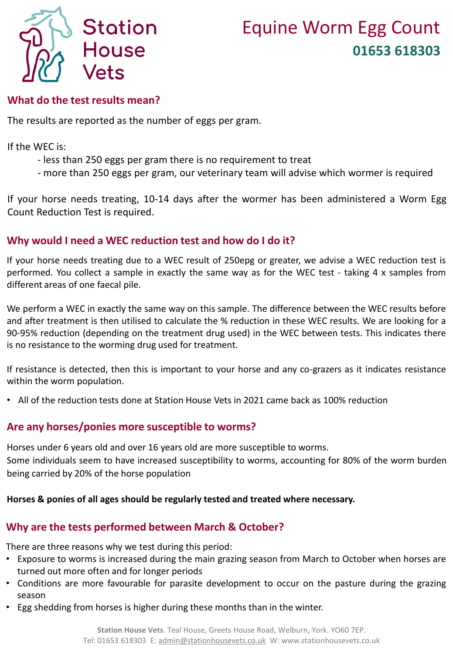

#### **What do the test results mean?**

The results are reported as the number of eggs per gram.

If the WEC is:

- less than 250 eggs per gram there is no requirement to treat
- more than 250 eggs per gram, our veterinary team will advise which wormer is required

If your horse needs treating, 10-14 days after the wormer has been administered a Worm Egg Count Reduction Test is required.

#### **Why would I need a WEC reduction test and how do I do it?**

If your horse needs treating due to a WEC result of 250epg or greater, we advise a WEC reduction test is performed. You collect a sample in exactly the same way as for the WEC test - taking 4 x samples from different areas of one faecal pile.

We perform a WEC in exactly the same way on this sample. The difference between the WEC results before and after treatment is then utilised to calculate the % reduction in these WEC results. We are looking for a 90-95% reduction (depending on the treatment drug used) in the WEC between tests. This indicates there is no resistance to the worming drug used for treatment.

If resistance is detected, then this is important to your horse and any co-grazers as it indicates resistance within the worm population.

• All of the reduction tests done at Station House Vets in 2021 came back as 100% reduction

#### **Are any horses/ponies more susceptible to worms?**

Horses under 6 years old and over 16 years old are more susceptible to worms. Some individuals seem to have increased susceptibility to worms, accounting for 80% of the worm burden being carried by 20% of the horse population

#### **Horses & ponies of all ages should be regularly tested and treated where necessary.**

#### **Why are the tests performed between March & October?**

There are three reasons why we test during this period:

- Exposure to worms is increased during the main grazing season from March to October when horses are turned out more often and for longer periods
- Conditions are more favourable for parasite development to occur on the pasture during the grazing season
- Egg shedding from horses is higher during these months than in the winter.